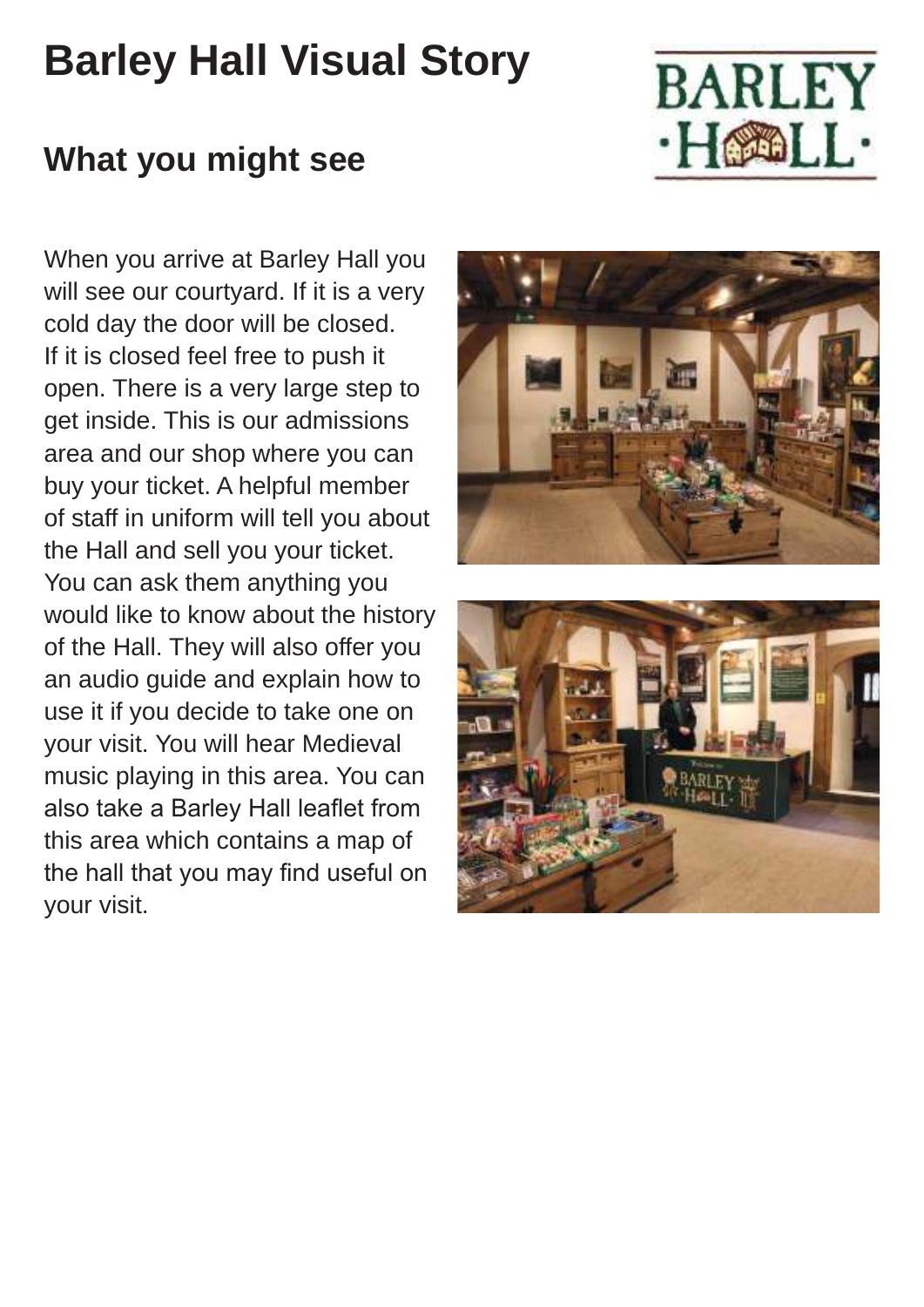## **Barley Hall Visual Story**



## **What you might see**

When you arrive at Barley Hall you will see our courtyard. If it is a very cold day the door will be closed. If it is closed feel free to push it open. There is a very large step to get inside. This is our admissions area and our shop where you can buy your ticket. A helpful member of staff in uniform will tell you about the Hall and sell you your ticket. You can ask them anything you would like to know about the history of the Hall. They will also offer you an audio guide and explain how to use it if you decide to take one on your visit. You will hear Medieval music playing in this area. You can also take a Barley Hall leaflet from this area which contains a map of the hall that you may find useful on your visit.



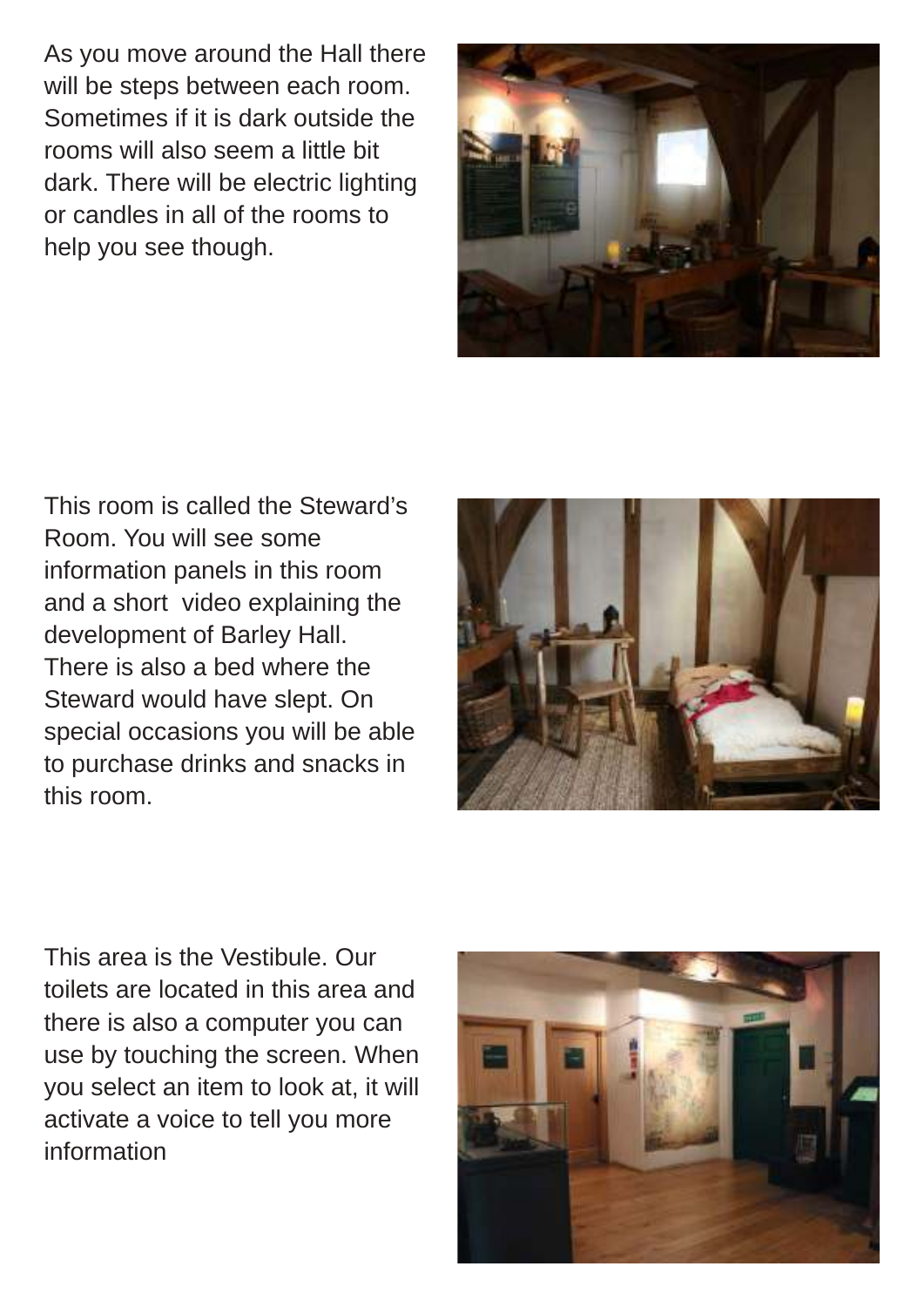As you move around the Hall there will be steps between each room. Sometimes if it is dark outside the rooms will also seem a little bit dark. There will be electric lighting or candles in all of the rooms to help you see though.



This room is called the Steward's Room. You will see some information panels in this room and a short video explaining the development of Barley Hall. There is also a bed where the Steward would have slept. On special occasions you will be able to purchase drinks and snacks in this room.



This area is the Vestibule. Our toilets are located in this area and there is also a computer you can use by touching the screen. When you select an item to look at, it will activate a voice to tell you more information

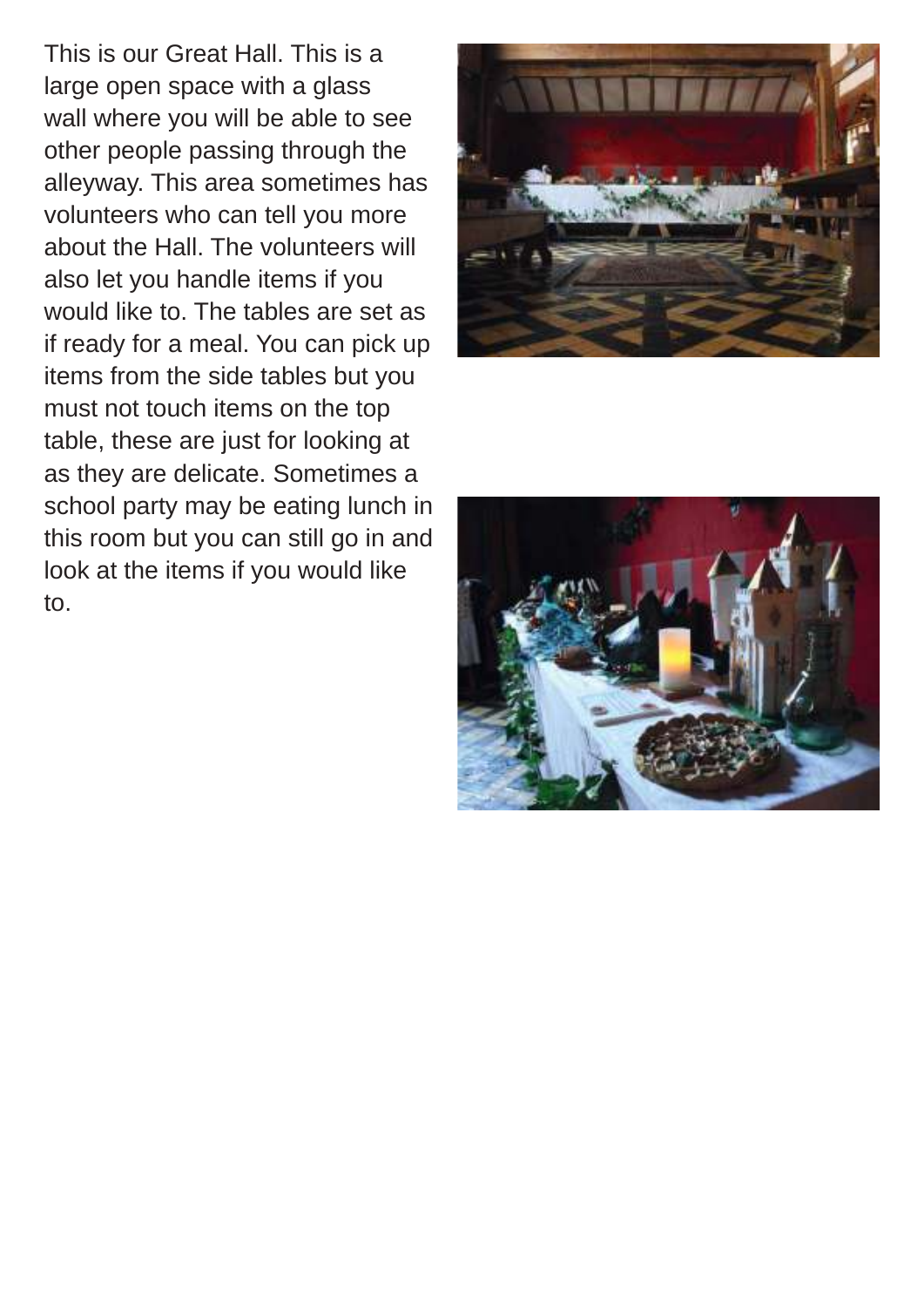This is our Great Hall. This is a large open space with a glass wall where you will be able to see other people passing through the alleyway. This area sometimes has volunteers who can tell you more about the Hall. The volunteers will also let you handle items if you would like to. The tables are set as if ready for a meal. You can pick up items from the side tables but you must not touch items on the top table, these are just for looking at as they are delicate. Sometimes a school party may be eating lunch in this room but you can still go in and look at the items if you would like to.



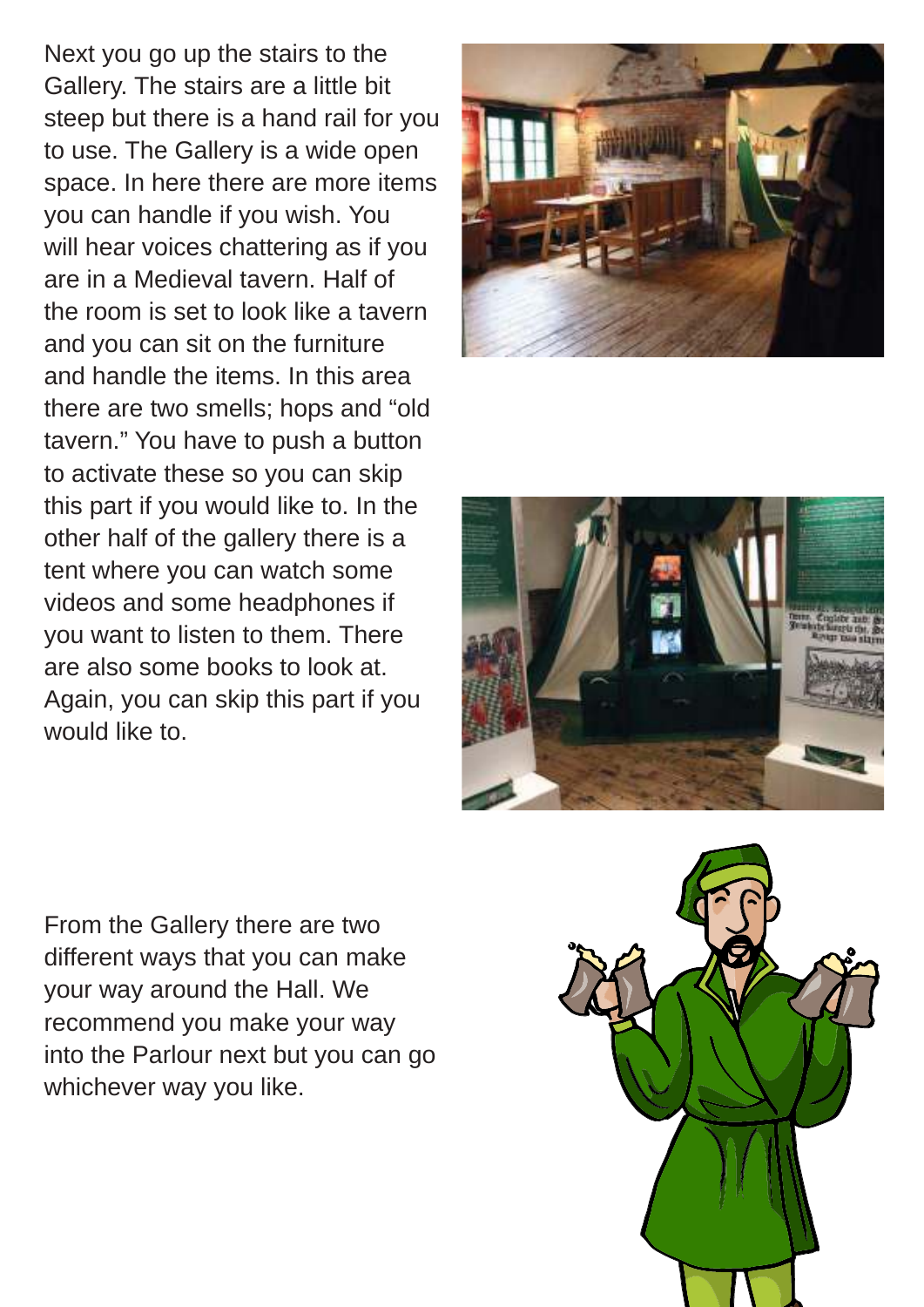Next you go up the stairs to the Gallery. The stairs are a little bit steep but there is a hand rail for you to use. The Gallery is a wide open space. In here there are more items you can handle if you wish. You will hear voices chattering as if you are in a Medieval tavern. Half of the room is set to look like a tavern and you can sit on the furniture and handle the items. In this area there are two smells; hops and "old tavern." You have to push a button to activate these so you can skip this part if you would like to. In the other half of the gallery there is a tent where you can watch some videos and some headphones if you want to listen to them. There are also some books to look at. Again, you can skip this part if you would like to.





From the Gallery there are two different ways that you can make your way around the Hall. We recommend you make your way into the Parlour next but you can go whichever way you like.

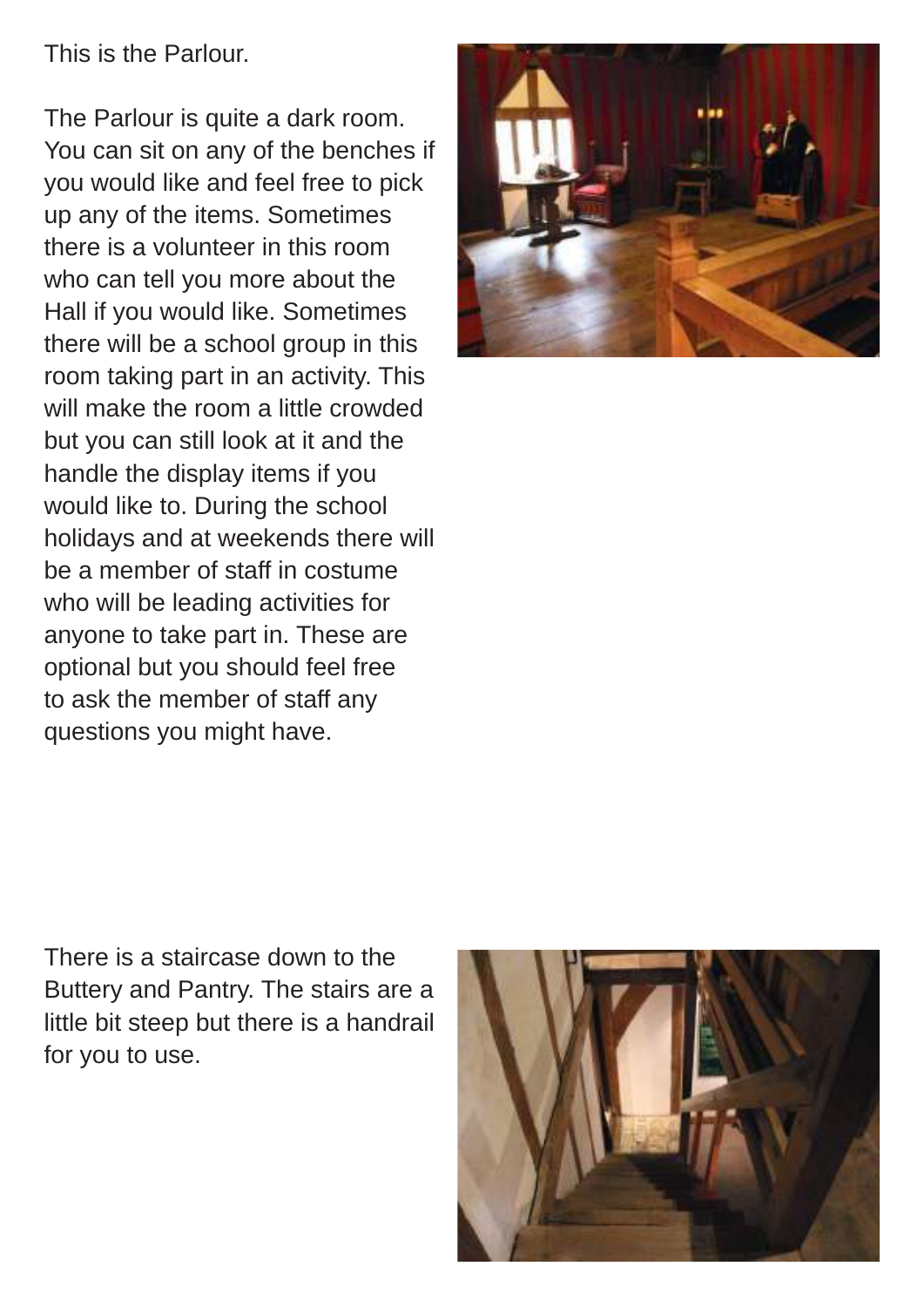This is the Parlour.

The Parlour is quite a dark room. You can sit on any of the benches if you would like and feel free to pick up any of the items. Sometimes there is a volunteer in this room who can tell you more about the Hall if you would like. Sometimes there will be a school group in this room taking part in an activity. This will make the room a little crowded but you can still look at it and the handle the display items if you would like to. During the school holidays and at weekends there will be a member of staff in costume who will be leading activities for anyone to take part in. These are optional but you should feel free to ask the member of staff any questions you might have.



There is a staircase down to the Buttery and Pantry. The stairs are a little bit steep but there is a handrail for you to use.

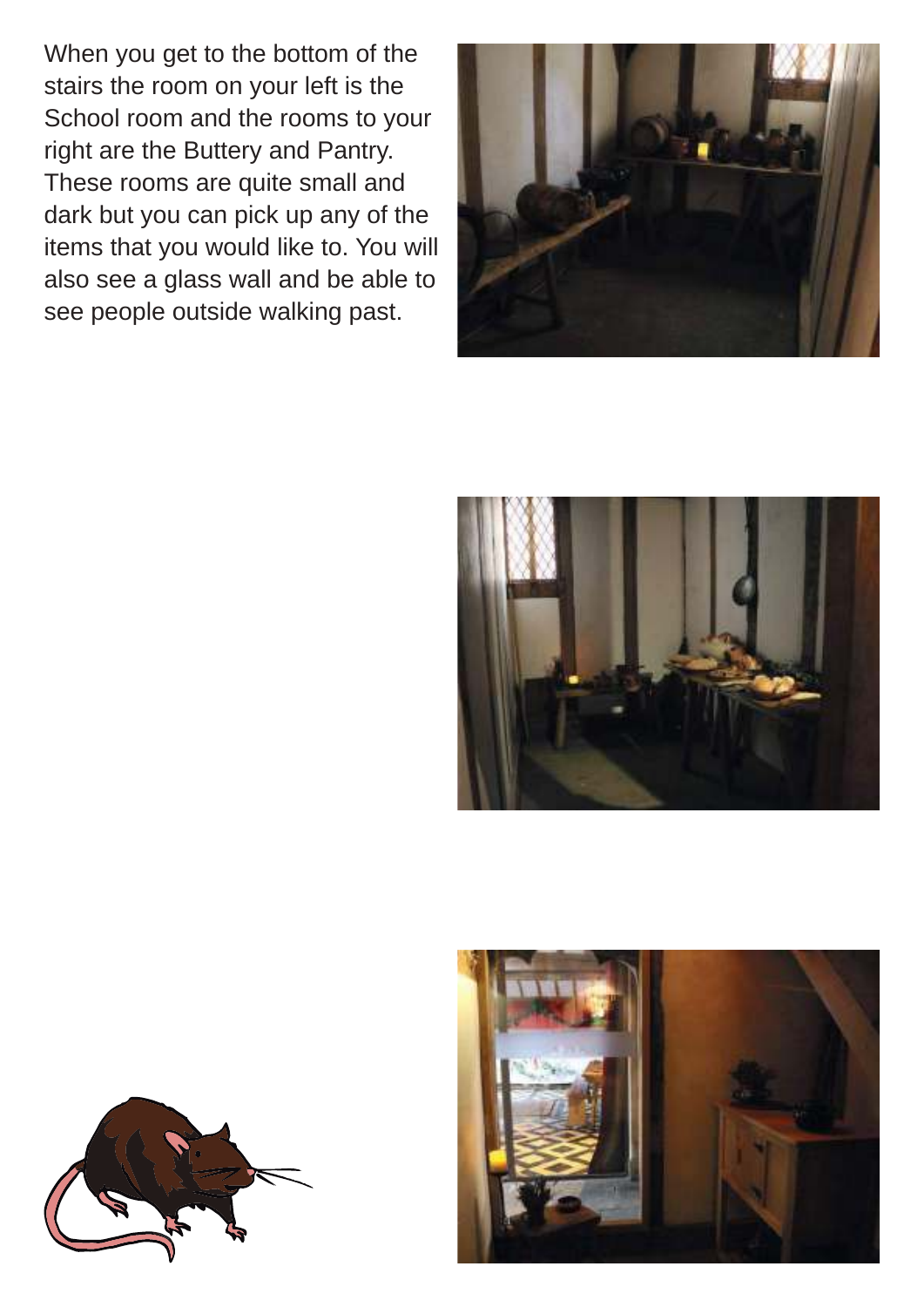When you get to the bottom of the stairs the room on your left is the School room and the rooms to your right are the Buttery and Pantry. These rooms are quite small and dark but you can pick up any of the items that you would like to. You will also see a glass wall and be able to see people outside walking past.







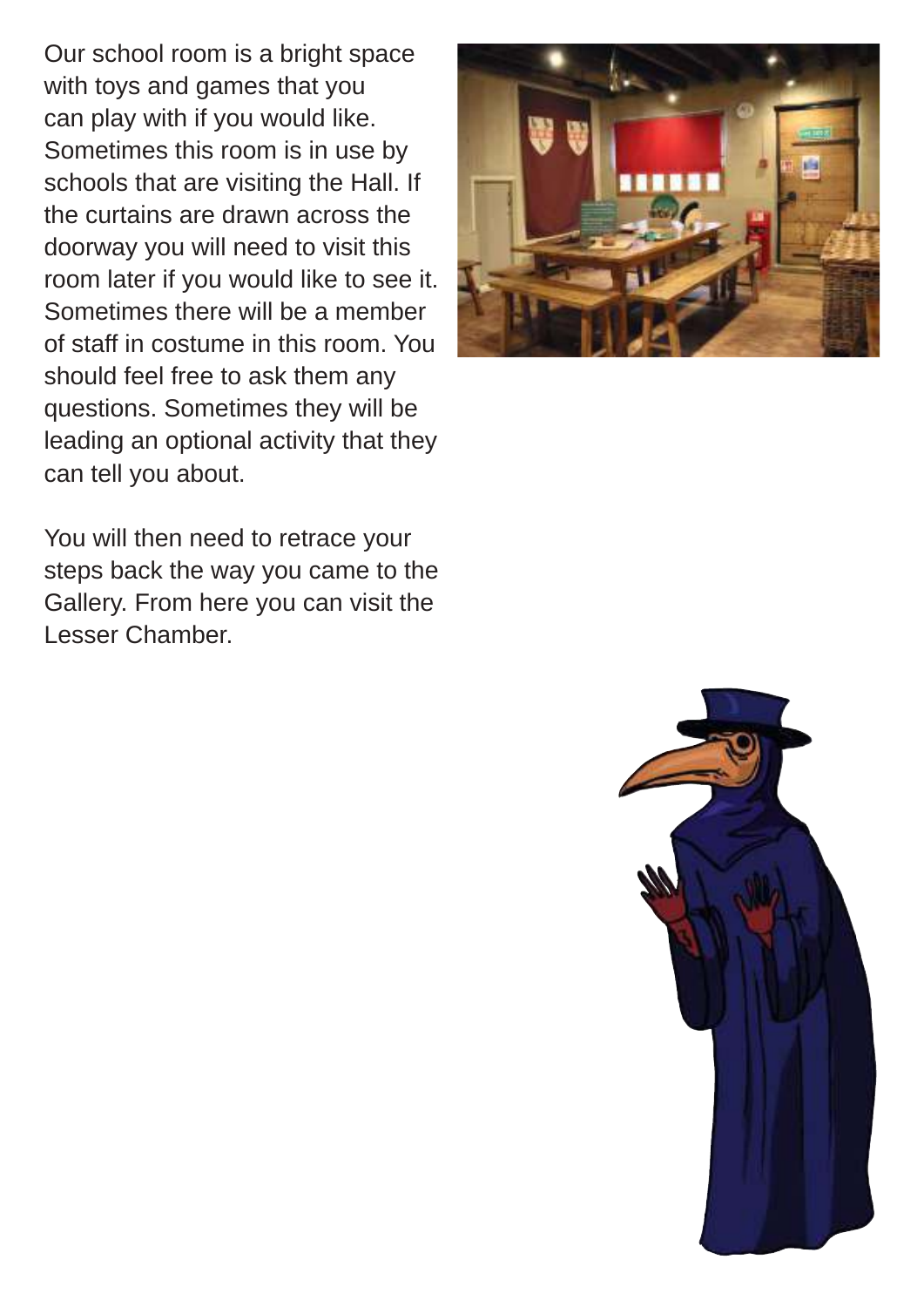Our school room is a bright space with toys and games that you can play with if you would like. Sometimes this room is in use by schools that are visiting the Hall. If the curtains are drawn across the doorway you will need to visit this room later if you would like to see it. Sometimes there will be a member of staff in costume in this room. You should feel free to ask them any questions. Sometimes they will be leading an optional activity that they can tell you about.

You will then need to retrace your steps back the way you came to the Gallery. From here you can visit the Lesser Chamber.



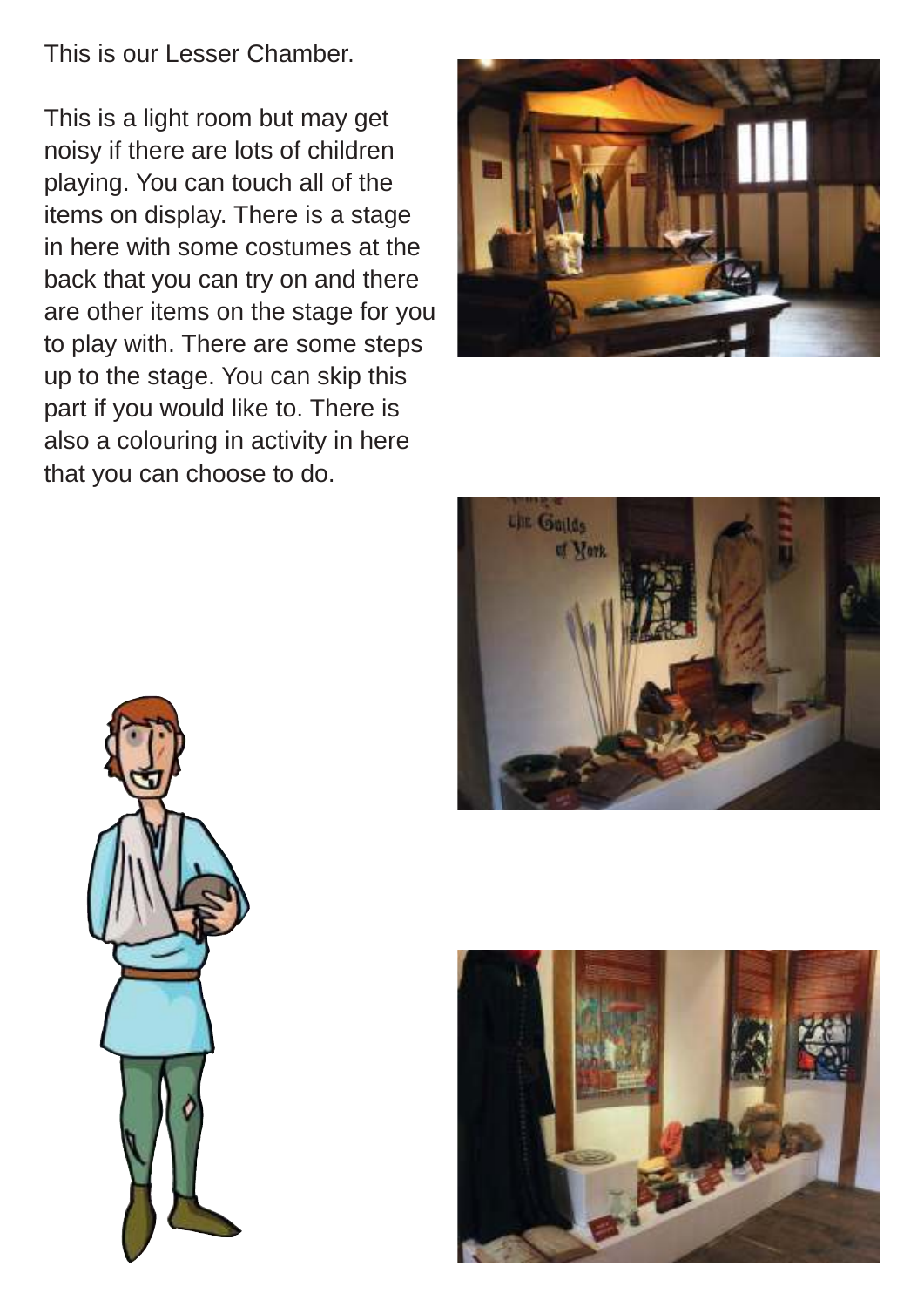This is our Lesser Chamber.

This is a light room but may get noisy if there are lots of children playing. You can touch all of the items on display. There is a stage in here with some costumes at the back that you can try on and there are other items on the stage for you to play with. There are some steps up to the stage. You can skip this part if you would like to. There is also a colouring in activity in here that you can choose to do.







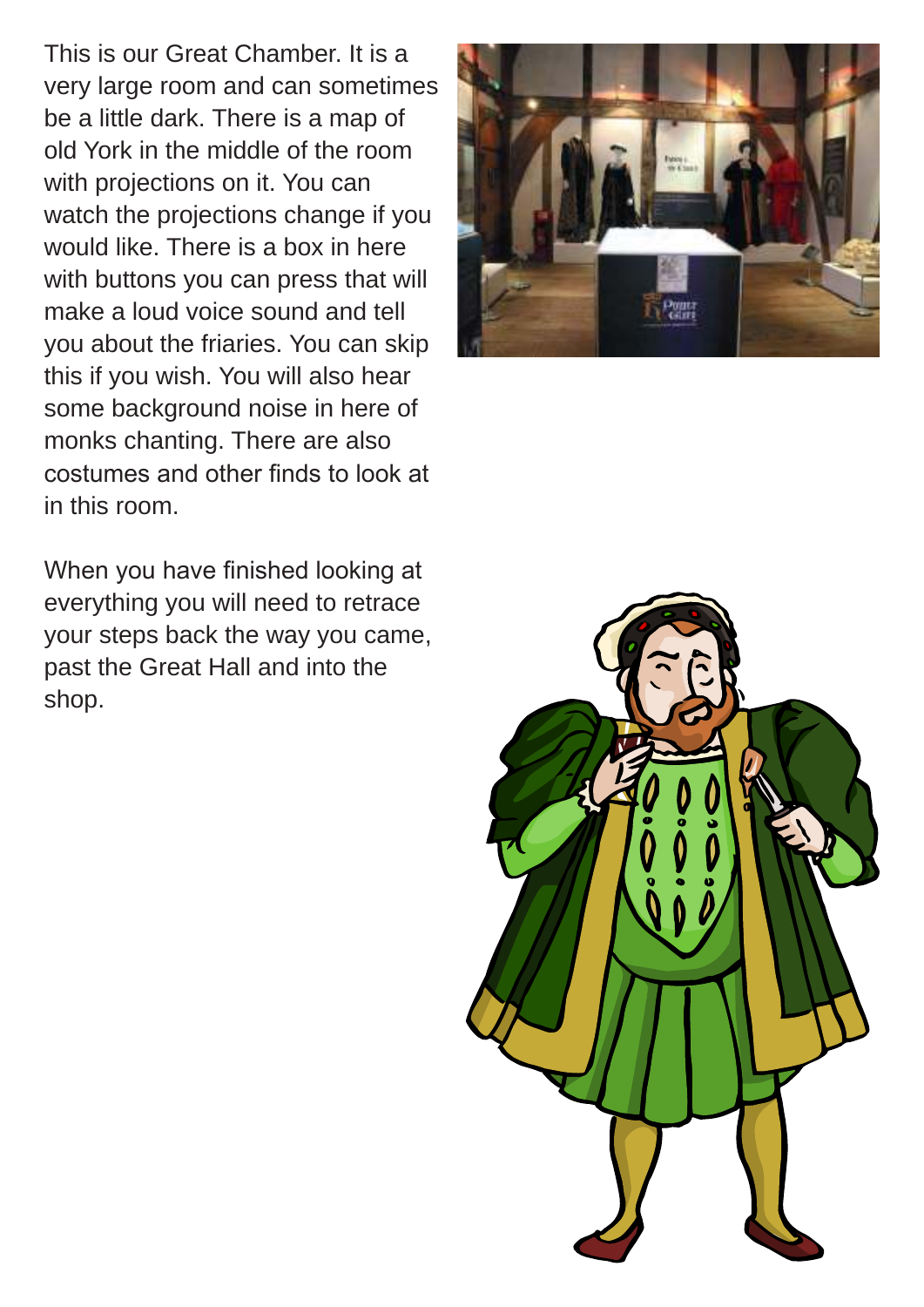This is our Great Chamber. It is a very large room and can sometimes be a little dark. There is a map of old York in the middle of the room with projections on it. You can watch the projections change if you would like. There is a box in here with buttons you can press that will make a loud voice sound and tell you about the friaries. You can skip this if you wish. You will also hear some background noise in here of monks chanting. There are also costumes and other inds to look at in this room.

When you have finished looking at everything you will need to retrace your steps back the way you came, past the Great Hall and into the shop.



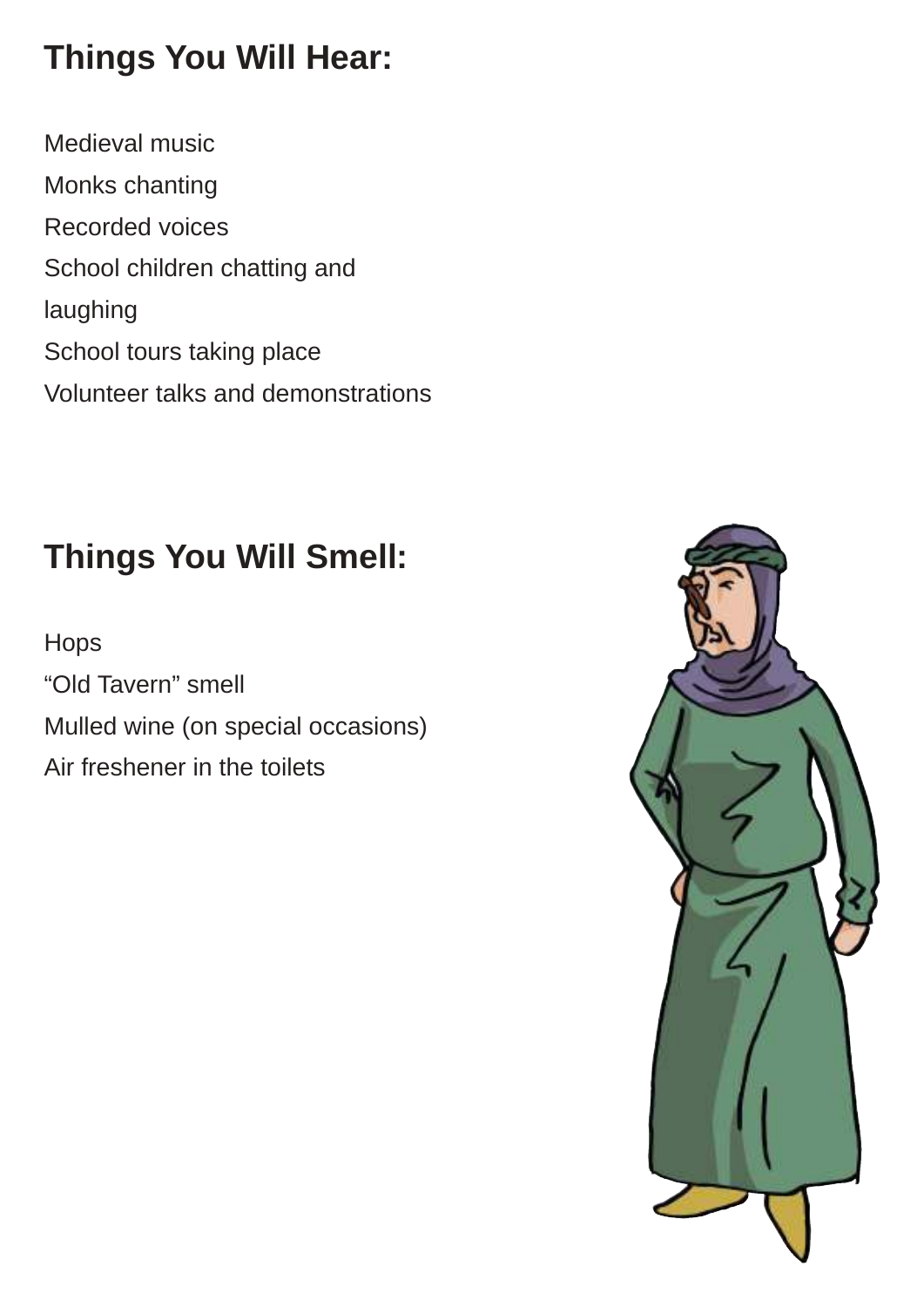## **Things You Will Hear:**

Medieval music Monks chanting Recorded voices School children chatting and laughing School tours taking place Volunteer talks and demonstrations

## **Things You Will Smell:**

Hops "Old Tavern" smell Mulled wine (on special occasions) Air freshener in the toilets